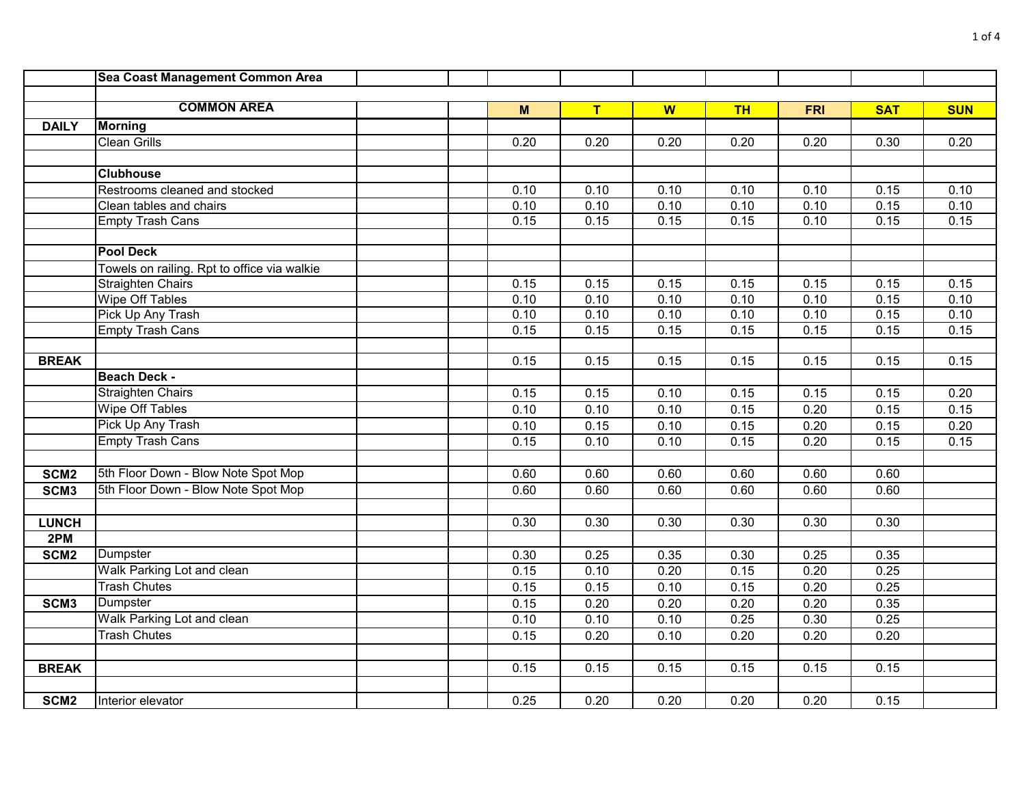|                  | Sea Coast Management Common Area            |      |                   |      |           |                   |            |            |
|------------------|---------------------------------------------|------|-------------------|------|-----------|-------------------|------------|------------|
|                  |                                             |      |                   |      |           |                   |            |            |
|                  | <b>COMMON AREA</b>                          | M    | T                 | W    | <b>TH</b> | <b>FRI</b>        | <b>SAT</b> | <b>SUN</b> |
| <b>DAILY</b>     | <b>Morning</b>                              |      |                   |      |           |                   |            |            |
|                  | <b>Clean Grills</b>                         | 0.20 | $\overline{0.20}$ | 0.20 | 0.20      | $\overline{0.20}$ | 0.30       | 0.20       |
|                  |                                             |      |                   |      |           |                   |            |            |
|                  | <b>Clubhouse</b>                            |      |                   |      |           |                   |            |            |
|                  | Restrooms cleaned and stocked               | 0.10 | 0.10              | 0.10 | 0.10      | 0.10              | 0.15       | 0.10       |
|                  | Clean tables and chairs                     | 0.10 | 0.10              | 0.10 | 0.10      | 0.10              | 0.15       | 0.10       |
|                  | <b>Empty Trash Cans</b>                     | 0.15 | 0.15              | 0.15 | 0.15      | 0.10              | 0.15       | 0.15       |
|                  |                                             |      |                   |      |           |                   |            |            |
|                  | <b>Pool Deck</b>                            |      |                   |      |           |                   |            |            |
|                  | Towels on railing. Rpt to office via walkie |      |                   |      |           |                   |            |            |
|                  | <b>Straighten Chairs</b>                    | 0.15 | 0.15              | 0.15 | 0.15      | 0.15              | 0.15       | 0.15       |
|                  | <b>Wipe Off Tables</b>                      | 0.10 | 0.10              | 0.10 | 0.10      | 0.10              | 0.15       | 0.10       |
|                  | Pick Up Any Trash                           | 0.10 | 0.10              | 0.10 | 0.10      | 0.10              | 0.15       | 0.10       |
|                  | <b>Empty Trash Cans</b>                     | 0.15 | 0.15              | 0.15 | 0.15      | 0.15              | 0.15       | 0.15       |
|                  |                                             |      |                   |      |           |                   |            |            |
| <b>BREAK</b>     |                                             | 0.15 | 0.15              | 0.15 | 0.15      | 0.15              | 0.15       | 0.15       |
|                  | <b>Beach Deck -</b>                         |      |                   |      |           |                   |            |            |
|                  | <b>Straighten Chairs</b>                    | 0.15 | 0.15              | 0.10 | 0.15      | 0.15              | 0.15       | 0.20       |
|                  | <b>Wipe Off Tables</b>                      | 0.10 | 0.10              | 0.10 | 0.15      | 0.20              | 0.15       | 0.15       |
|                  | Pick Up Any Trash                           | 0.10 | 0.15              | 0.10 | 0.15      | 0.20              | 0.15       | 0.20       |
|                  | <b>Empty Trash Cans</b>                     | 0.15 | 0.10              | 0.10 | 0.15      | 0.20              | 0.15       | 0.15       |
|                  |                                             |      |                   |      |           |                   |            |            |
| SCM <sub>2</sub> | 5th Floor Down - Blow Note Spot Mop         | 0.60 | 0.60              | 0.60 | 0.60      | 0.60              | 0.60       |            |
| SCM <sub>3</sub> | 5th Floor Down - Blow Note Spot Mop         | 0.60 | 0.60              | 0.60 | 0.60      | 0.60              | 0.60       |            |
|                  |                                             |      |                   |      |           |                   |            |            |
| <b>LUNCH</b>     |                                             | 0.30 | 0.30              | 0.30 | 0.30      | 0.30              | 0.30       |            |
| 2PM              |                                             |      |                   |      |           |                   |            |            |
| SCM <sub>2</sub> | Dumpster                                    | 0.30 | 0.25              | 0.35 | 0.30      | 0.25              | 0.35       |            |
|                  | Walk Parking Lot and clean                  | 0.15 | 0.10              | 0.20 | 0.15      | 0.20              | 0.25       |            |
|                  | <b>Trash Chutes</b>                         | 0.15 | 0.15              | 0.10 | 0.15      | 0.20              | 0.25       |            |
| SCM <sub>3</sub> | Dumpster                                    | 0.15 | 0.20              | 0.20 | 0.20      | 0.20              | 0.35       |            |
|                  | Walk Parking Lot and clean                  | 0.10 | 0.10              | 0.10 | 0.25      | 0.30              | 0.25       |            |
|                  | <b>Trash Chutes</b>                         | 0.15 | 0.20              | 0.10 | 0.20      | $\overline{0.20}$ | 0.20       |            |
|                  |                                             |      |                   |      |           |                   |            |            |
| <b>BREAK</b>     |                                             | 0.15 | 0.15              | 0.15 | 0.15      | 0.15              | 0.15       |            |
|                  |                                             |      |                   |      |           |                   |            |            |
| SCM <sub>2</sub> | Interior elevator                           | 0.25 | 0.20              | 0.20 | 0.20      | 0.20              | 0.15       |            |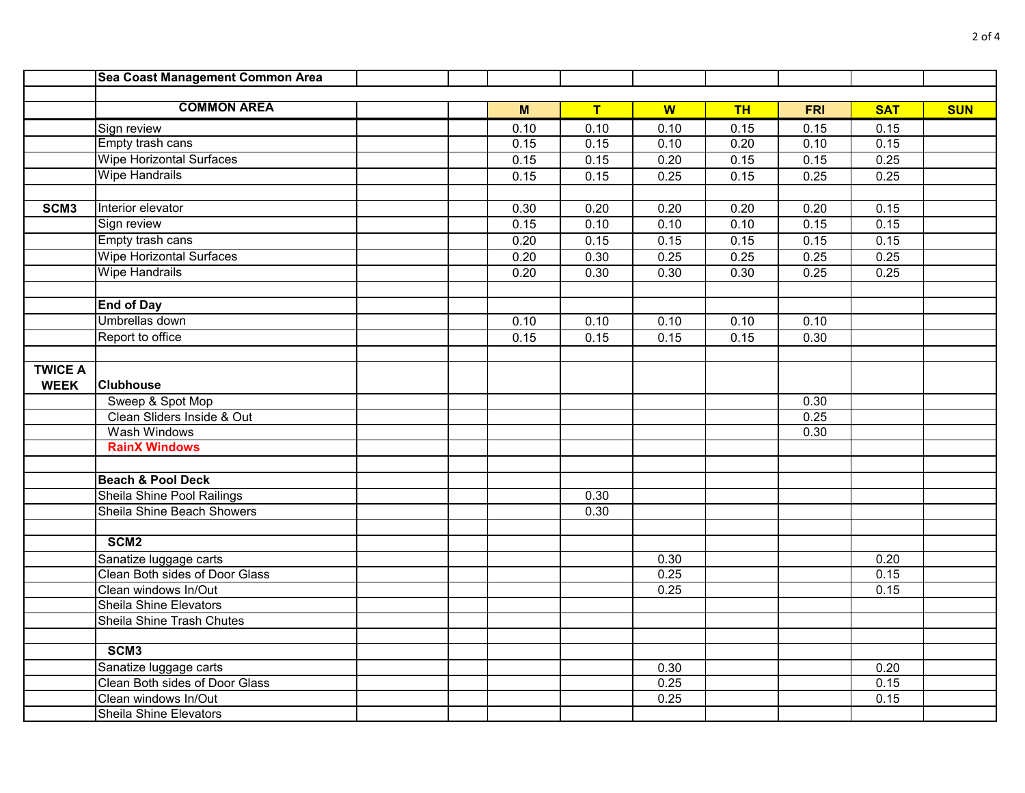|                  | Sea Coast Management Common Area |      |                   |      |           |            |            |            |
|------------------|----------------------------------|------|-------------------|------|-----------|------------|------------|------------|
|                  |                                  |      |                   |      |           |            |            |            |
|                  | <b>COMMON AREA</b>               | M    | T                 | W    | <b>TH</b> | <b>FRI</b> | <b>SAT</b> | <b>SUN</b> |
|                  | Sign review                      | 0.10 | 0.10              | 0.10 | 0.15      | 0.15       | 0.15       |            |
|                  | Empty trash cans                 | 0.15 | 0.15              | 0.10 | 0.20      | 0.10       | 0.15       |            |
|                  | <b>Wipe Horizontal Surfaces</b>  | 0.15 | 0.15              | 0.20 | 0.15      | 0.15       | 0.25       |            |
|                  | <b>Wipe Handrails</b>            | 0.15 | 0.15              | 0.25 | 0.15      | 0.25       | 0.25       |            |
|                  |                                  |      |                   |      |           |            |            |            |
| SCM <sub>3</sub> | Interior elevator                | 0.30 | $\overline{0.20}$ | 0.20 | 0.20      | 0.20       | 0.15       |            |
|                  | Sign review                      | 0.15 | 0.10              | 0.10 | 0.10      | 0.15       | 0.15       |            |
|                  | Empty trash cans                 | 0.20 | 0.15              | 0.15 | 0.15      | 0.15       | 0.15       |            |
|                  | <b>Wipe Horizontal Surfaces</b>  | 0.20 | 0.30              | 0.25 | 0.25      | 0.25       | 0.25       |            |
|                  | <b>Wipe Handrails</b>            | 0.20 | 0.30              | 0.30 | 0.30      | 0.25       | 0.25       |            |
|                  |                                  |      |                   |      |           |            |            |            |
|                  | <b>End of Day</b>                |      |                   |      |           |            |            |            |
|                  | Umbrellas down                   | 0.10 | 0.10              | 0.10 | 0.10      | 0.10       |            |            |
|                  | Report to office                 | 0.15 | 0.15              | 0.15 | 0.15      | 0.30       |            |            |
|                  |                                  |      |                   |      |           |            |            |            |
| <b>TWICE A</b>   |                                  |      |                   |      |           |            |            |            |
| <b>WEEK</b>      | <b>Clubhouse</b>                 |      |                   |      |           |            |            |            |
|                  | Sweep & Spot Mop                 |      |                   |      |           | 0.30       |            |            |
|                  | Clean Sliders Inside & Out       |      |                   |      |           | 0.25       |            |            |
|                  | Wash Windows                     |      |                   |      |           | 0.30       |            |            |
|                  | <b>RainX Windows</b>             |      |                   |      |           |            |            |            |
|                  |                                  |      |                   |      |           |            |            |            |
|                  | <b>Beach &amp; Pool Deck</b>     |      |                   |      |           |            |            |            |
|                  | Sheila Shine Pool Railings       |      | 0.30              |      |           |            |            |            |
|                  | Sheila Shine Beach Showers       |      | 0.30              |      |           |            |            |            |
|                  |                                  |      |                   |      |           |            |            |            |
|                  | SCM <sub>2</sub>                 |      |                   |      |           |            |            |            |
|                  | Sanatize luggage carts           |      |                   | 0.30 |           |            | 0.20       |            |
|                  | Clean Both sides of Door Glass   |      |                   | 0.25 |           |            | 0.15       |            |
|                  | Clean windows In/Out             |      |                   | 0.25 |           |            | 0.15       |            |
|                  | <b>Sheila Shine Elevators</b>    |      |                   |      |           |            |            |            |
|                  | Sheila Shine Trash Chutes        |      |                   |      |           |            |            |            |
|                  |                                  |      |                   |      |           |            |            |            |
|                  | SCM <sub>3</sub>                 |      |                   |      |           |            |            |            |
|                  | Sanatize luggage carts           |      |                   | 0.30 |           |            | 0.20       |            |
|                  | Clean Both sides of Door Glass   |      |                   | 0.25 |           |            | 0.15       |            |
|                  | Clean windows In/Out             |      |                   | 0.25 |           |            | 0.15       |            |
|                  | <b>Sheila Shine Elevators</b>    |      |                   |      |           |            |            |            |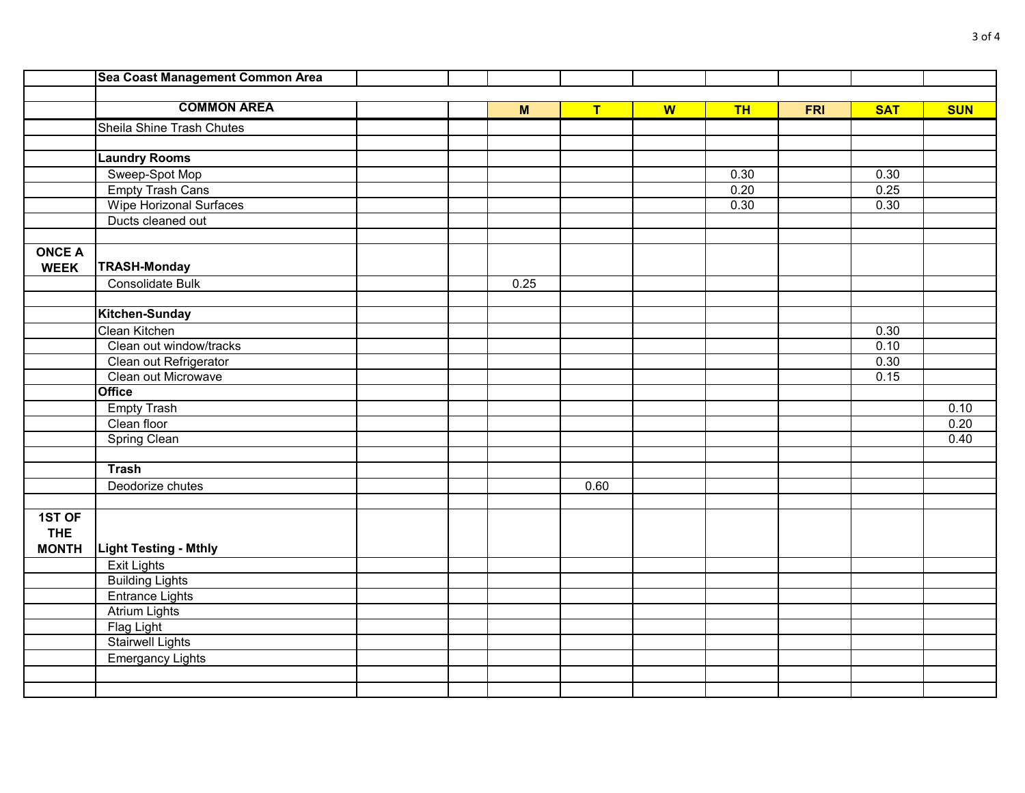|               | Sea Coast Management Common Area |  |      |                         |   |           |            |            |            |
|---------------|----------------------------------|--|------|-------------------------|---|-----------|------------|------------|------------|
|               |                                  |  |      |                         |   |           |            |            |            |
|               | <b>COMMON AREA</b>               |  | M    | $\overline{\mathsf{T}}$ | W | <b>TH</b> | <b>FRI</b> | <b>SAT</b> | <b>SUN</b> |
|               | Sheila Shine Trash Chutes        |  |      |                         |   |           |            |            |            |
|               |                                  |  |      |                         |   |           |            |            |            |
|               | <b>Laundry Rooms</b>             |  |      |                         |   |           |            |            |            |
|               | Sweep-Spot Mop                   |  |      |                         |   | 0.30      |            | 0.30       |            |
|               | <b>Empty Trash Cans</b>          |  |      |                         |   | 0.20      |            | 0.25       |            |
|               | <b>Wipe Horizonal Surfaces</b>   |  |      |                         |   | 0.30      |            | 0.30       |            |
|               | Ducts cleaned out                |  |      |                         |   |           |            |            |            |
|               |                                  |  |      |                         |   |           |            |            |            |
| <b>ONCE A</b> |                                  |  |      |                         |   |           |            |            |            |
| <b>WEEK</b>   | <b>TRASH-Monday</b>              |  |      |                         |   |           |            |            |            |
|               | Consolidate Bulk                 |  | 0.25 |                         |   |           |            |            |            |
|               |                                  |  |      |                         |   |           |            |            |            |
|               | Kitchen-Sunday                   |  |      |                         |   |           |            |            |            |
|               | Clean Kitchen                    |  |      |                         |   |           |            | 0.30       |            |
|               | Clean out window/tracks          |  |      |                         |   |           |            | 0.10       |            |
|               | Clean out Refrigerator           |  |      |                         |   |           |            | 0.30       |            |
|               | Clean out Microwave              |  |      |                         |   |           |            | 0.15       |            |
|               | <b>Office</b>                    |  |      |                         |   |           |            |            |            |
|               | <b>Empty Trash</b>               |  |      |                         |   |           |            |            | 0.10       |
|               | Clean floor                      |  |      |                         |   |           |            |            | 0.20       |
|               | <b>Spring Clean</b>              |  |      |                         |   |           |            |            | 0.40       |
|               |                                  |  |      |                         |   |           |            |            |            |
|               | <b>Trash</b>                     |  |      |                         |   |           |            |            |            |
|               | Deodorize chutes                 |  |      | 0.60                    |   |           |            |            |            |
|               |                                  |  |      |                         |   |           |            |            |            |
| 1ST OF        |                                  |  |      |                         |   |           |            |            |            |
| <b>THE</b>    |                                  |  |      |                         |   |           |            |            |            |
| <b>MONTH</b>  | <b>Light Testing - Mthly</b>     |  |      |                         |   |           |            |            |            |
|               | <b>Exit Lights</b>               |  |      |                         |   |           |            |            |            |
|               | <b>Building Lights</b>           |  |      |                         |   |           |            |            |            |
|               | <b>Entrance Lights</b>           |  |      |                         |   |           |            |            |            |
|               | <b>Atrium Lights</b>             |  |      |                         |   |           |            |            |            |
|               | <b>Flag Light</b>                |  |      |                         |   |           |            |            |            |
|               | <b>Stairwell Lights</b>          |  |      |                         |   |           |            |            |            |
|               | <b>Emergancy Lights</b>          |  |      |                         |   |           |            |            |            |
|               |                                  |  |      |                         |   |           |            |            |            |
|               |                                  |  |      |                         |   |           |            |            |            |